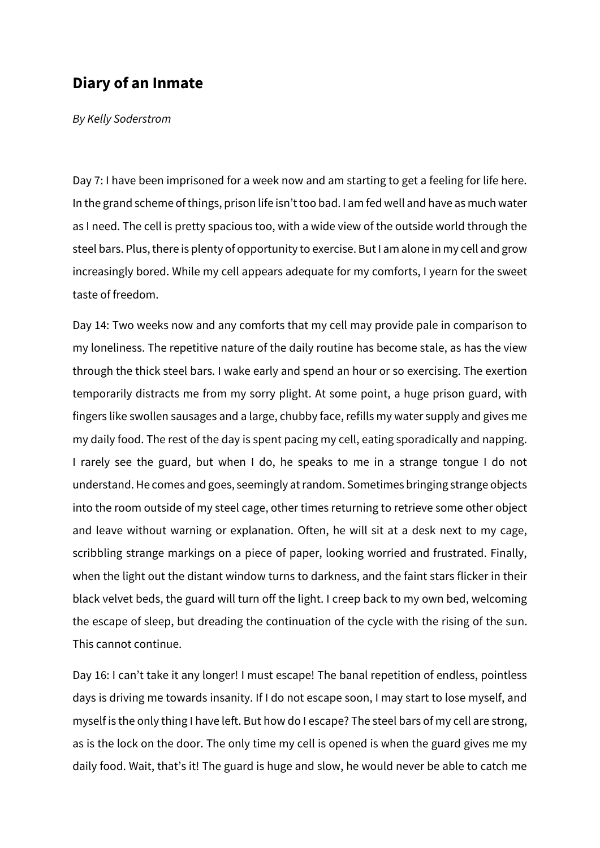## **Diary of an Inmate**

*By Kelly Soderstrom*

Day 7: I have been imprisoned for a week now and am starting to get a feeling for life here. In the grand scheme of things, prison life isn't too bad. I am fed well and have as much water as I need. The cell is pretty spacious too, with a wide view of the outside world through the steel bars. Plus, there is plenty of opportunity to exercise. But I am alone in my cell and grow increasingly bored. While my cell appears adequate for my comforts, I yearn for the sweet taste of freedom.

Day 14: Two weeks now and any comforts that my cell may provide pale in comparison to my loneliness. The repetitive nature of the daily routine has become stale, as has the view through the thick steel bars. I wake early and spend an hour or so exercising. The exertion temporarily distracts me from my sorry plight. At some point, a huge prison guard, with fingers like swollen sausages and a large, chubby face, refills my water supply and gives me my daily food. The rest of the day is spent pacing my cell, eating sporadically and napping. I rarely see the guard, but when I do, he speaks to me in a strange tongue I do not understand. He comes and goes, seemingly at random. Sometimes bringing strange objects into the room outside of my steel cage, other times returning to retrieve some other object and leave without warning or explanation. Often, he will sit at a desk next to my cage, scribbling strange markings on a piece of paper, looking worried and frustrated. Finally, when the light out the distant window turns to darkness, and the faint stars flicker in their black velvet beds, the guard will turn off the light. I creep back to my own bed, welcoming the escape of sleep, but dreading the continuation of the cycle with the rising of the sun. This cannot continue.

Day 16: I can't take it any longer! I must escape! The banal repetition of endless, pointless days is driving me towards insanity. If I do not escape soon, I may start to lose myself, and myself is the only thing I have left. But how do I escape? The steel bars of my cell are strong, as is the lock on the door. The only time my cell is opened is when the guard gives me my daily food. Wait, that's it! The guard is huge and slow, he would never be able to catch me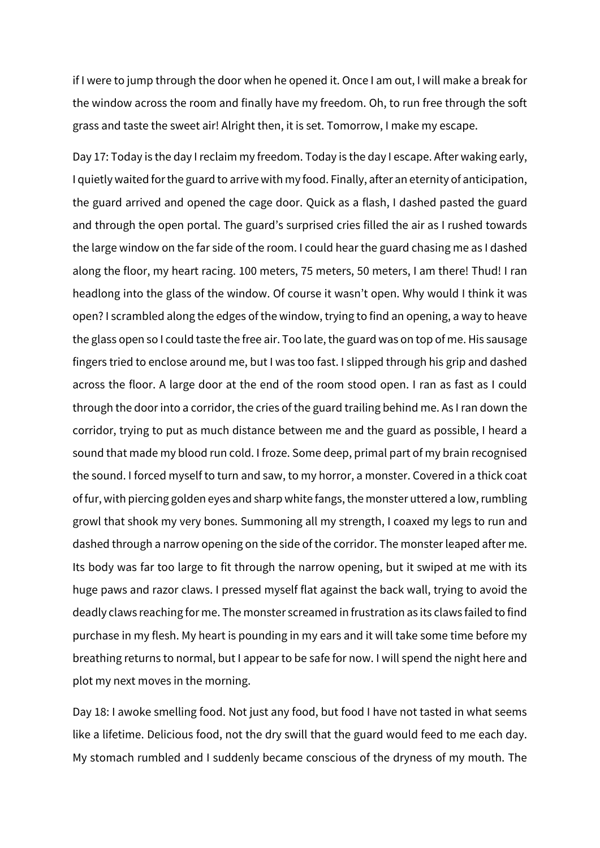if I were to jump through the door when he opened it. Once I am out, I will make a break for the window across the room and finally have my freedom. Oh, to run free through the soft grass and taste the sweet air! Alright then, it is set. Tomorrow, I make my escape.

Day 17: Today is the day I reclaim my freedom. Today is the day I escape. After waking early, I quietly waited for the guard to arrive with my food. Finally, after an eternity of anticipation, the guard arrived and opened the cage door. Quick as a flash, I dashed pasted the guard and through the open portal. The guard's surprised cries filled the air as I rushed towards the large window on the far side of the room. I could hear the guard chasing me as I dashed along the floor, my heart racing. 100 meters, 75 meters, 50 meters, I am there! Thud! I ran headlong into the glass of the window. Of course it wasn't open. Why would I think it was open? I scrambled along the edges of the window, trying to find an opening, a way to heave the glass open so I could taste the free air. Too late, the guard was on top of me. His sausage fingers tried to enclose around me, but I was too fast. I slipped through his grip and dashed across the floor. A large door at the end of the room stood open. I ran as fast as I could through the door into a corridor, the cries of the guard trailing behind me. As I ran down the corridor, trying to put as much distance between me and the guard as possible, I heard a sound that made my blood run cold. I froze. Some deep, primal part of my brain recognised the sound. I forced myself to turn and saw, to my horror, a monster. Covered in a thick coat of fur, with piercing golden eyes and sharp white fangs, the monster uttered a low, rumbling growl that shook my very bones. Summoning all my strength, I coaxed my legs to run and dashed through a narrow opening on the side of the corridor. The monster leaped after me. Its body was far too large to fit through the narrow opening, but it swiped at me with its huge paws and razor claws. I pressed myself flat against the back wall, trying to avoid the deadly claws reaching for me. The monster screamed in frustration as its claws failed to find purchase in my flesh. My heart is pounding in my ears and it will take some time before my breathing returns to normal, but I appear to be safe for now. I will spend the night here and plot my next moves in the morning.

Day 18: I awoke smelling food. Not just any food, but food I have not tasted in what seems like a lifetime. Delicious food, not the dry swill that the guard would feed to me each day. My stomach rumbled and I suddenly became conscious of the dryness of my mouth. The